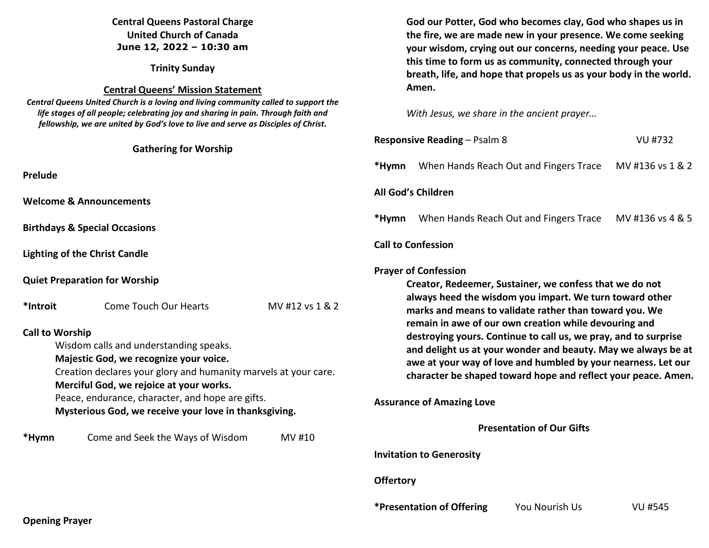| <b>Central Queens Pastoral Charge</b><br><b>United Church of Canada</b><br>June 12, 2022 - 10:30 am                                                                                                                                                                                                                                                                                                                                          |  |  | God our Potter, God who becomes clay, God who shapes us in<br>the fire, we are made new in your presence. We come seeking<br>your wisdom, crying out our concerns, needing your peace. Use<br>this time to form us as community, connected through your<br>breath, life, and hope that propels us as your body in the world.<br>Amen.<br>With Jesus, we share in the ancient prayer                                                                                                                                                        |                                 |                                        |                                  |
|----------------------------------------------------------------------------------------------------------------------------------------------------------------------------------------------------------------------------------------------------------------------------------------------------------------------------------------------------------------------------------------------------------------------------------------------|--|--|--------------------------------------------------------------------------------------------------------------------------------------------------------------------------------------------------------------------------------------------------------------------------------------------------------------------------------------------------------------------------------------------------------------------------------------------------------------------------------------------------------------------------------------------|---------------------------------|----------------------------------------|----------------------------------|
| <b>Trinity Sunday</b>                                                                                                                                                                                                                                                                                                                                                                                                                        |  |  |                                                                                                                                                                                                                                                                                                                                                                                                                                                                                                                                            |                                 |                                        |                                  |
| <b>Central Queens' Mission Statement</b><br>Central Queens United Church is a loving and living community called to support the<br>life stages of all people; celebrating joy and sharing in pain. Through faith and<br>fellowship, we are united by God's love to live and serve as Disciples of Christ.                                                                                                                                    |  |  |                                                                                                                                                                                                                                                                                                                                                                                                                                                                                                                                            |                                 |                                        |                                  |
| <b>Gathering for Worship</b>                                                                                                                                                                                                                                                                                                                                                                                                                 |  |  | <b>Responsive Reading - Psalm 8</b><br>VU #732                                                                                                                                                                                                                                                                                                                                                                                                                                                                                             |                                 |                                        |                                  |
| <b>Prelude</b>                                                                                                                                                                                                                                                                                                                                                                                                                               |  |  | *Hymn                                                                                                                                                                                                                                                                                                                                                                                                                                                                                                                                      |                                 | When Hands Reach Out and Fingers Trace | MV #136 vs 1 & 2                 |
| <b>Welcome &amp; Announcements</b>                                                                                                                                                                                                                                                                                                                                                                                                           |  |  | All God's Children                                                                                                                                                                                                                                                                                                                                                                                                                                                                                                                         |                                 |                                        |                                  |
| <b>Birthdays &amp; Special Occasions</b>                                                                                                                                                                                                                                                                                                                                                                                                     |  |  | *Hymn                                                                                                                                                                                                                                                                                                                                                                                                                                                                                                                                      |                                 | When Hands Reach Out and Fingers Trace | MV #136 vs 4 & 5                 |
| <b>Lighting of the Christ Candle</b>                                                                                                                                                                                                                                                                                                                                                                                                         |  |  |                                                                                                                                                                                                                                                                                                                                                                                                                                                                                                                                            | <b>Call to Confession</b>       |                                        |                                  |
| <b>Quiet Preparation for Worship</b><br><b>Come Touch Our Hearts</b><br>MV #12 vs 1 & 2<br>*Introit<br><b>Call to Worship</b><br>Wisdom calls and understanding speaks.<br>Majestic God, we recognize your voice.<br>Creation declares your glory and humanity marvels at your care.<br>Merciful God, we rejoice at your works.<br>Peace, endurance, character, and hope are gifts.<br>Mysterious God, we receive your love in thanksgiving. |  |  | <b>Prayer of Confession</b><br>Creator, Redeemer, Sustainer, we confess that we do not<br>always heed the wisdom you impart. We turn toward other<br>marks and means to validate rather than toward you. We<br>remain in awe of our own creation while devouring and<br>destroying yours. Continue to call us, we pray, and to surprise<br>and delight us at your wonder and beauty. May we always be at<br>awe at your way of love and humbled by your nearness. Let our<br>character be shaped toward hope and reflect your peace. Amen. |                                 |                                        |                                  |
|                                                                                                                                                                                                                                                                                                                                                                                                                                              |  |  |                                                                                                                                                                                                                                                                                                                                                                                                                                                                                                                                            |                                 |                                        | <b>Assurance of Amazing Love</b> |
|                                                                                                                                                                                                                                                                                                                                                                                                                                              |  |  | Come and Seek the Ways of Wisdom<br>*Hymn                                                                                                                                                                                                                                                                                                                                                                                                                                                                                                  |                                 | MV #10                                 |                                  |
|                                                                                                                                                                                                                                                                                                                                                                                                                                              |  |  |                                                                                                                                                                                                                                                                                                                                                                                                                                                                                                                                            | <b>Invitation to Generosity</b> |                                        |                                  |
|                                                                                                                                                                                                                                                                                                                                                                                                                                              |  |  | <b>Offertory</b>                                                                                                                                                                                                                                                                                                                                                                                                                                                                                                                           |                                 |                                        |                                  |
|                                                                                                                                                                                                                                                                                                                                                                                                                                              |  |  |                                                                                                                                                                                                                                                                                                                                                                                                                                                                                                                                            | *Presentation of Offering       | You Nourish Us                         | <b>VU #545</b>                   |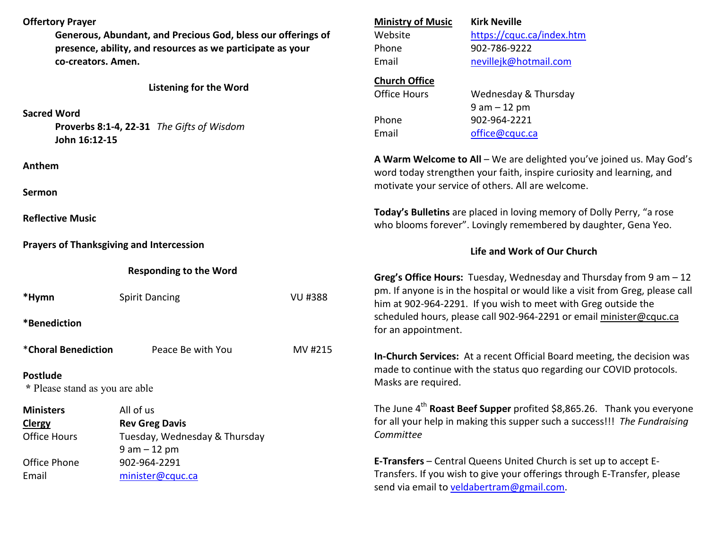# **Offertory Prayer**

**Generous, Abundant, and Precious God, bless our offerings of presence, ability, and resources as we participate as your co-creators. Amen.**

### **Listening for the Word**

#### **Sacred Word**

 **Proverbs 8:1-4, 22-31** *The Gifts of Wisdom*  **John 16:12-15** 

#### **Anthem**

**Sermon** 

**Reflective Music** 

**Prayers of Thanksgiving and Intercession** 

Email minister@cquc.ca

**Responding to the Word** 

| *Hymn                                             | <b>Spirit Dancing</b>         | VU #388 |  |  |
|---------------------------------------------------|-------------------------------|---------|--|--|
| *Benediction                                      |                               |         |  |  |
| *Choral Benediction                               | Peace Be with You             | MV #215 |  |  |
| <b>Postlude</b><br>* Please stand as you are able |                               |         |  |  |
| <b>Ministers</b>                                  | All of us                     |         |  |  |
| <b>Clergy</b>                                     | <b>Rev Greg Davis</b>         |         |  |  |
| <b>Office Hours</b>                               | Tuesday, Wednesday & Thursday |         |  |  |
|                                                   | $9$ am $-12$ pm               |         |  |  |
| Office Phone                                      | 902-964-2291                  |         |  |  |

| <b>Ministry of Music</b> | <b>Kirk Neville</b>       |
|--------------------------|---------------------------|
| Website                  | https://cquc.ca/index.htm |
| Phone                    | 902-786-9222              |
| Email                    | nevillejk@hotmail.com     |
| Church Office            |                           |
| Office Hours             | Wednesday & Thursday      |
|                          | $9$ am $-12$ pm           |
| Phone                    | 902-964-2221              |
| Email                    | office@cquc.ca            |
|                          |                           |

**A Warm Welcome to All** – We are delighted you've joined us. May God's word today strengthen your faith, inspire curiosity and learning, and motivate your service of others. All are welcome.

**Today's Bulletins** are placed in loving memory of Dolly Perry, "a rose who blooms forever". Lovingly remembered by daughter, Gena Yeo.

### **Life and Work of Our Church**

**Greg's Office Hours:** Tuesday, Wednesday and Thursday from 9 am – 12 pm. If anyone is in the hospital or would like a visit from Greg, please call him at 902-964-2291. If you wish to meet with Greg outside the scheduled hours, please call 902-964-2291 or email minister@cquc.ca for an appointment.

**In-Church Services:** At a recent Official Board meeting, the decision was made to continue with the status quo regarding our COVID protocols. Masks are required.

The June 4<sup>th</sup> Roast Beef Supper profited \$8,865.26. Thank you everyone for all your help in making this supper such a success!!! *The Fundraising Committee* 

**E-Transfers** – Central Queens United Church is set up to accept E-Transfers. If you wish to give your offerings through E-Transfer, please send via email to veldabertram@gmail.com.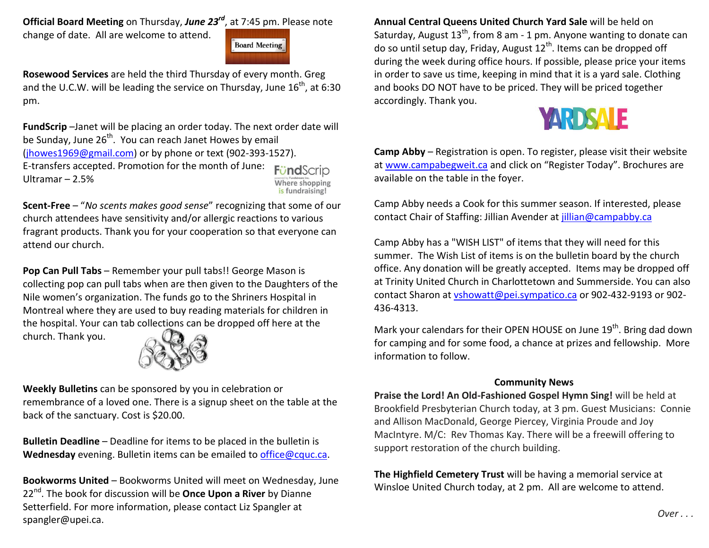**Official Board Meeting** on Thursday, *June 23rd*, at 7:45 pm. Please note change of date. All are welcome to attend.



**Rosewood Services** are held the third Thursday of every month. Greg and the U.C.W. will be leading the service on Thursday, June  $16^{th}$ , at 6:30 pm.

**FundScrip** –Janet will be placing an order today. The next order date will be Sunday, June  $26<sup>th</sup>$ . You can reach Janet Howes by email (jhowes1969@gmail.com) or by phone or text (902-393-1527). E-transfers accepted. Promotion for the month of June: Find Ultramar – 2.5% **Where shopping** 

is fundraising!

**Scent-Free** – "*No scents makes good sense*" recognizing that some of our church attendees have sensitivity and/or allergic reactions to various fragrant products. Thank you for your cooperation so that everyone can attend our church.

**Pop Can Pull Tabs** – Remember your pull tabs!! George Mason is collecting pop can pull tabs when are then given to the Daughters of the Nile women's organization. The funds go to the Shriners Hospital in Montreal where they are used to buy reading materials for children in the hospital. Your can tab collections can be dropped off here at the church. Thank you.



**Weekly Bulletins** can be sponsored by you in celebration or remembrance of a loved one. There is a signup sheet on the table at the back of the sanctuary. Cost is \$20.00.

**Bulletin Deadline** – Deadline for items to be placed in the bulletin is **Wednesday** evening. Bulletin items can be emailed to office@cquc.ca.

**Bookworms United** – Bookworms United will meet on Wednesday, June 22nd. The book for discussion will be **Once Upon a River** by Dianne Setterfield. For more information, please contact Liz Spangler at spangler@upei.ca.

**Annual Central Queens United Church Yard Sale** will be held on Saturday, August 13<sup>th</sup>, from 8 am - 1 pm. Anyone wanting to donate can do so until setup day, Friday, August  $12<sup>th</sup>$ . Items can be dropped off during the week during office hours. If possible, please price your items in order to save us time, keeping in mind that it is a yard sale. Clothing and books DO NOT have to be priced. They will be priced together accordingly. Thank you.



**Camp Abby** – Registration is open. To register, please visit their website at www.campabegweit.ca and click on "Register Today". Brochures are available on the table in the foyer.

Camp Abby needs a Cook for this summer season. If interested, please contact Chair of Staffing: Jillian Avender at jillian@campabby.ca

Camp Abby has a "WISH LIST" of items that they will need for this summer. The Wish List of items is on the bulletin board by the church office. Any donation will be greatly accepted. Items may be dropped off at Trinity United Church in Charlottetown and Summerside. You can also contact Sharon at vshowatt@pei.sympatico.ca or 902-432-9193 or 902-436-4313.

Mark your calendars for their OPEN HOUSE on June 19<sup>th</sup>. Bring dad down for camping and for some food, a chance at prizes and fellowship. More information to follow.

## **Community News**

**Praise the Lord! An Old-Fashioned Gospel Hymn Sing!** will be held at Brookfield Presbyterian Church today, at 3 pm. Guest Musicians: Connie and Allison MacDonald, George Piercey, Virginia Proude and Joy MacIntyre. M/C: Rev Thomas Kay. There will be a freewill offering to support restoration of the church building.

**The Highfield Cemetery Trust** will be having a memorial service at Winsloe United Church today, at 2 pm. All are welcome to attend.